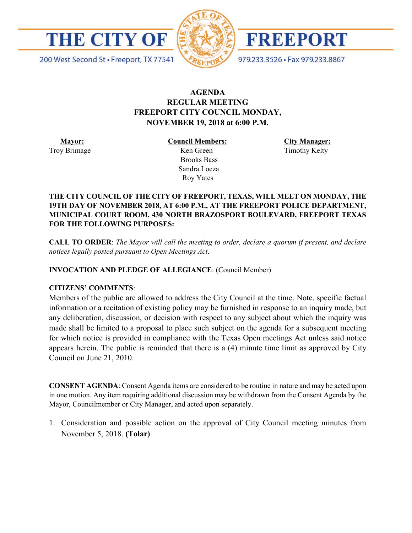

200 West Second St · Freeport, TX 77541



FREEPORT

979.233.3526 · Fax 979.233.8867

# **AGENDA REGULAR MEETING FREEPORT CITY COUNCIL MONDAY, NOVEMBER 19, 2018 at 6:00 P.M.**

 **Mayor:** Troy Brimage **Council Members:**

 Ken Green Brooks Bass Sandra Loeza Roy Yates

**City Manager:** Timothy Kelty

### **THE CITY COUNCIL OF THE CITY OF FREEPORT, TEXAS, WILL MEET ON MONDAY, THE 19TH DAY OF NOVEMBER 2018, AT 6:00 P.M., AT THE FREEPORT POLICE DEPARTMENT, MUNICIPAL COURT ROOM, 430 NORTH BRAZOSPORT BOULEVARD, FREEPORT TEXAS FOR THE FOLLOWING PURPOSES:**

**CALL TO ORDER**: *The Mayor will call the meeting to order, declare a quorum if present, and declare notices legally posted pursuant to Open Meetings Act*.

**INVOCATION AND PLEDGE OF ALLEGIANCE**: (Council Member)

### **CITIZENS' COMMENTS**:

Members of the public are allowed to address the City Council at the time. Note, specific factual information or a recitation of existing policy may be furnished in response to an inquiry made, but any deliberation, discussion, or decision with respect to any subject about which the inquiry was made shall be limited to a proposal to place such subject on the agenda for a subsequent meeting for which notice is provided in compliance with the Texas Open meetings Act unless said notice appears herein. The public is reminded that there is a (4) minute time limit as approved by City Council on June 21, 2010.

**CONSENT AGENDA**: Consent Agenda items are considered to be routine in nature and may be acted upon in one motion. Any item requiring additional discussion may be withdrawn from the Consent Agenda by the Mayor, Councilmember or City Manager, and acted upon separately.

1. Consideration and possible action on the approval of City Council meeting minutes from November 5, 2018. **(Tolar)**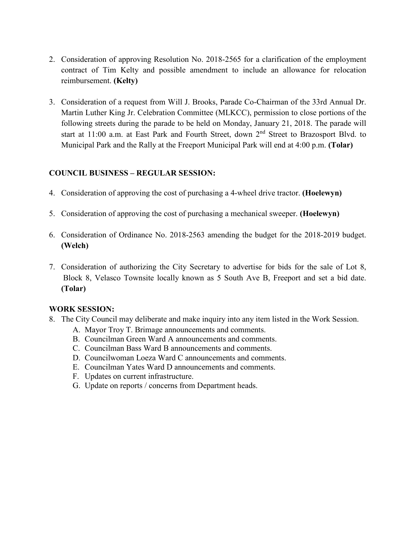- 2. Consideration of approving Resolution No. 2018-2565 for a clarification of the employment contract of Tim Kelty and possible amendment to include an allowance for relocation reimbursement. **(Kelty)**
- 3. Consideration of a request from Will J. Brooks, Parade Co-Chairman of the 33rd Annual Dr. Martin Luther King Jr. Celebration Committee (MLKCC), permission to close portions of the following streets during the parade to be held on Monday, January 21, 2018. The parade will start at 11:00 a.m. at East Park and Fourth Street, down 2nd Street to Brazosport Blvd. to Municipal Park and the Rally at the Freeport Municipal Park will end at 4:00 p.m. **(Tolar)**

### **COUNCIL BUSINESS – REGULAR SESSION:**

- 4. Consideration of approving the cost of purchasing a 4-wheel drive tractor. **(Hoelewyn)**
- 5. Consideration of approving the cost of purchasing a mechanical sweeper. **(Hoelewyn)**
- 6. Consideration of Ordinance No. 2018-2563 amending the budget for the 2018-2019 budget. **(Welch)**
- 7. Consideration of authorizing the City Secretary to advertise for bids for the sale of Lot 8, Block 8, Velasco Townsite locally known as 5 South Ave B, Freeport and set a bid date. **(Tolar)**

#### **WORK SESSION:**

- 8. The City Council may deliberate and make inquiry into any item listed in the Work Session.
	- A. Mayor Troy T. Brimage announcements and comments.
	- B. Councilman Green Ward A announcements and comments.
	- C. Councilman Bass Ward B announcements and comments.
	- D. Councilwoman Loeza Ward C announcements and comments.
	- E. Councilman Yates Ward D announcements and comments.
	- F. Updates on current infrastructure.
	- G. Update on reports / concerns from Department heads.